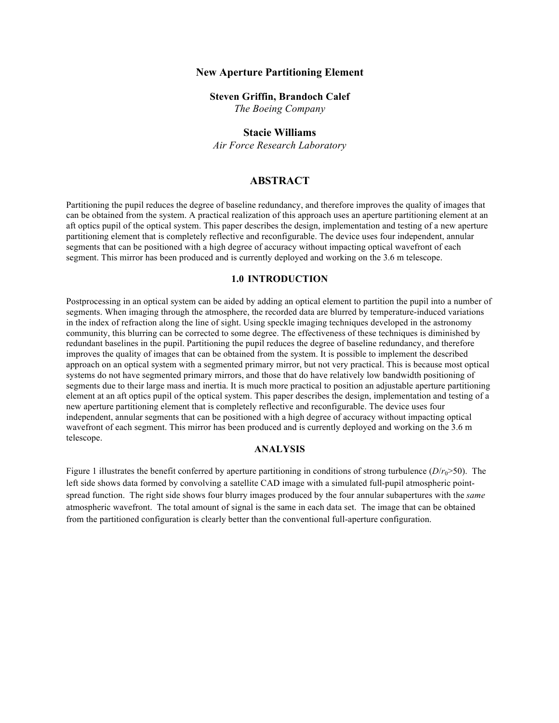#### **New Aperture Partitioning Element**

#### **Steven Griffin, Brandoch Calef**

*The Boeing Company*

# **Stacie Williams**

*Air Force Research Laboratory*

# **ABSTRACT**

Partitioning the pupil reduces the degree of baseline redundancy, and therefore improves the quality of images that can be obtained from the system. A practical realization of this approach uses an aperture partitioning element at an aft optics pupil of the optical system. This paper describes the design, implementation and testing of a new aperture partitioning element that is completely reflective and reconfigurable. The device uses four independent, annular segments that can be positioned with a high degree of accuracy without impacting optical wavefront of each segment. This mirror has been produced and is currently deployed and working on the 3.6 m telescope.

#### **1.0 INTRODUCTION**

Postprocessing in an optical system can be aided by adding an optical element to partition the pupil into a number of segments. When imaging through the atmosphere, the recorded data are blurred by temperature-induced variations in the index of refraction along the line of sight. Using speckle imaging techniques developed in the astronomy community, this blurring can be corrected to some degree. The effectiveness of these techniques is diminished by redundant baselines in the pupil. Partitioning the pupil reduces the degree of baseline redundancy, and therefore improves the quality of images that can be obtained from the system. It is possible to implement the described approach on an optical system with a segmented primary mirror, but not very practical. This is because most optical systems do not have segmented primary mirrors, and those that do have relatively low bandwidth positioning of segments due to their large mass and inertia. It is much more practical to position an adjustable aperture partitioning element at an aft optics pupil of the optical system. This paper describes the design, implementation and testing of a new aperture partitioning element that is completely reflective and reconfigurable. The device uses four independent, annular segments that can be positioned with a high degree of accuracy without impacting optical wavefront of each segment. This mirror has been produced and is currently deployed and working on the 3.6 m telescope.

#### **ANALYSIS**

Figure 1 illustrates the benefit conferred by aperture partitioning in conditions of strong turbulence  $(D/r_0 > 50)$ . The left side shows data formed by convolving a satellite CAD image with a simulated full-pupil atmospheric pointspread function. The right side shows four blurry images produced by the four annular subapertures with the *same* atmospheric wavefront. The total amount of signal is the same in each data set. The image that can be obtained from the partitioned configuration is clearly better than the conventional full-aperture configuration.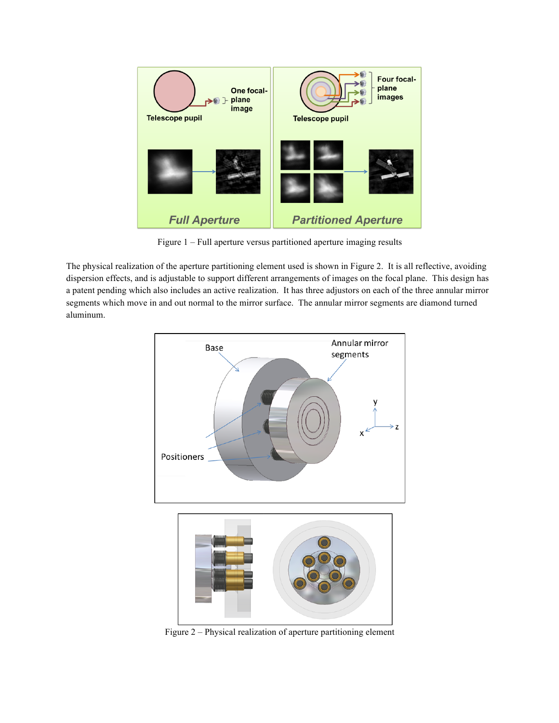

Figure 1 – Full aperture versus partitioned aperture imaging results

The physical realization of the aperture partitioning element used is shown in Figure 2. It is all reflective, avoiding dispersion effects, and is adjustable to support different arrangements of images on the focal plane. This design has a patent pending which also includes an active realization. It has three adjustors on each of the three annular mirror segments which move in and out normal to the mirror surface. The annular mirror segments are diamond turned aluminum.



Figure 2 – Physical realization of aperture partitioning element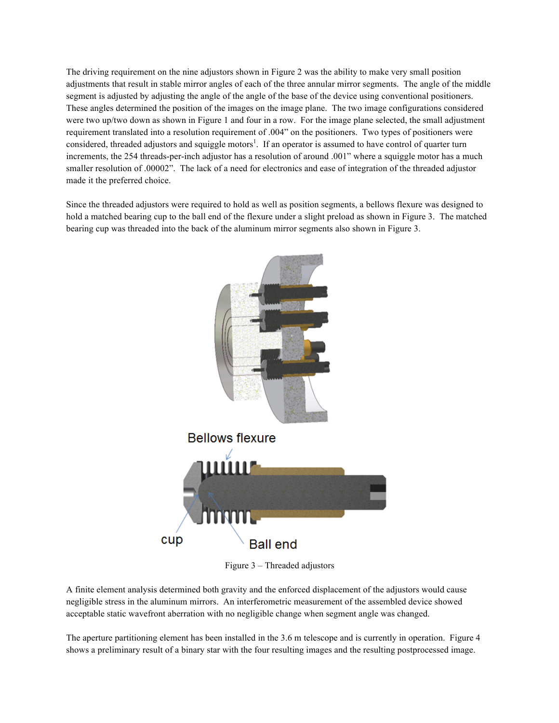The driving requirement on the nine adjustors shown in Figure 2 was the ability to make very small position adjustments that result in stable mirror angles of each of the three annular mirror segments. The angle of the middle segment is adjusted by adjusting the angle of the angle of the base of the device using conventional positioners. These angles determined the position of the images on the image plane. The two image configurations considered were two up/two down as shown in Figure 1 and four in a row. For the image plane selected, the small adjustment requirement translated into a resolution requirement of .004" on the positioners. Two types of positioners were considered, threaded adjustors and squiggle motors<sup>1</sup>. If an operator is assumed to have control of quarter turn increments, the 254 threads-per-inch adjustor has a resolution of around .001" where a squiggle motor has a much smaller resolution of .00002". The lack of a need for electronics and ease of integration of the threaded adjustor made it the preferred choice.

Since the threaded adjustors were required to hold as well as position segments, a bellows flexure was designed to hold a matched bearing cup to the ball end of the flexure under a slight preload as shown in Figure 3. The matched bearing cup was threaded into the back of the aluminum mirror segments also shown in Figure 3.



Figure 3 – Threaded adjustors

A finite element analysis determined both gravity and the enforced displacement of the adjustors would cause negligible stress in the aluminum mirrors. An interferometric measurement of the assembled device showed acceptable static wavefront aberration with no negligible change when segment angle was changed.

The aperture partitioning element has been installed in the 3.6 m telescope and is currently in operation. Figure 4 shows a preliminary result of a binary star with the four resulting images and the resulting postprocessed image.